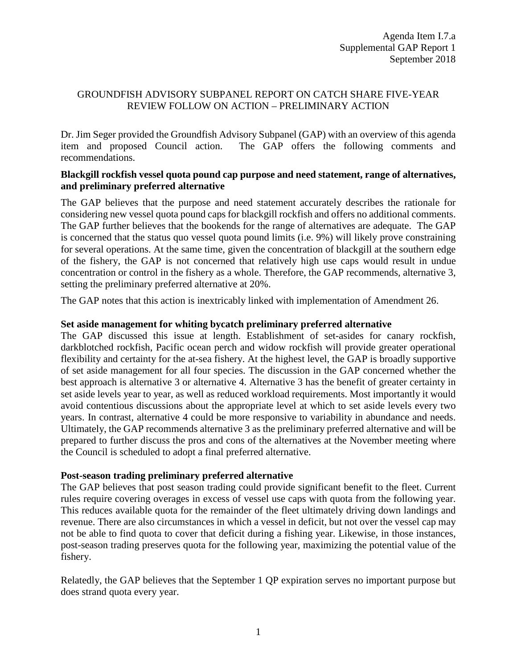# GROUNDFISH ADVISORY SUBPANEL REPORT ON CATCH SHARE FIVE-YEAR REVIEW FOLLOW ON ACTION – PRELIMINARY ACTION

Dr. Jim Seger provided the Groundfish Advisory Subpanel (GAP) with an overview of this agenda item and proposed Council action. The GAP offers the following comments and recommendations.

# **Blackgill rockfish vessel quota pound cap purpose and need statement, range of alternatives, and preliminary preferred alternative**

The GAP believes that the purpose and need statement accurately describes the rationale for considering new vessel quota pound caps for blackgill rockfish and offers no additional comments. The GAP further believes that the bookends for the range of alternatives are adequate. The GAP is concerned that the status quo vessel quota pound limits (i.e. 9%) will likely prove constraining for several operations. At the same time, given the concentration of blackgill at the southern edge of the fishery, the GAP is not concerned that relatively high use caps would result in undue concentration or control in the fishery as a whole. Therefore, the GAP recommends, alternative 3, setting the preliminary preferred alternative at 20%.

The GAP notes that this action is inextricably linked with implementation of Amendment 26.

#### **Set aside management for whiting bycatch preliminary preferred alternative**

The GAP discussed this issue at length. Establishment of set-asides for canary rockfish, darkblotched rockfish, Pacific ocean perch and widow rockfish will provide greater operational flexibility and certainty for the at-sea fishery. At the highest level, the GAP is broadly supportive of set aside management for all four species. The discussion in the GAP concerned whether the best approach is alternative 3 or alternative 4. Alternative 3 has the benefit of greater certainty in set aside levels year to year, as well as reduced workload requirements. Most importantly it would avoid contentious discussions about the appropriate level at which to set aside levels every two years. In contrast, alternative 4 could be more responsive to variability in abundance and needs. Ultimately, the GAP recommends alternative 3 as the preliminary preferred alternative and will be prepared to further discuss the pros and cons of the alternatives at the November meeting where the Council is scheduled to adopt a final preferred alternative.

# **Post-season trading preliminary preferred alternative**

The GAP believes that post season trading could provide significant benefit to the fleet. Current rules require covering overages in excess of vessel use caps with quota from the following year. This reduces available quota for the remainder of the fleet ultimately driving down landings and revenue. There are also circumstances in which a vessel in deficit, but not over the vessel cap may not be able to find quota to cover that deficit during a fishing year. Likewise, in those instances, post-season trading preserves quota for the following year, maximizing the potential value of the fishery.

Relatedly, the GAP believes that the September 1 QP expiration serves no important purpose but does strand quota every year.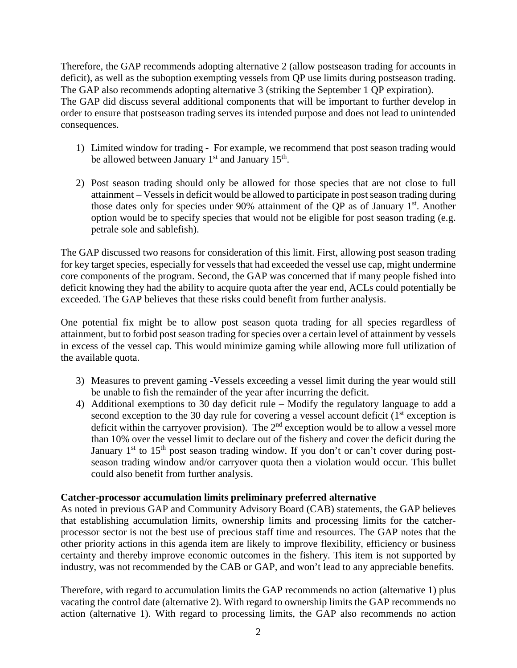Therefore, the GAP recommends adopting alternative 2 (allow postseason trading for accounts in deficit), as well as the suboption exempting vessels from QP use limits during postseason trading. The GAP also recommends adopting alternative 3 (striking the September 1 QP expiration). The GAP did discuss several additional components that will be important to further develop in order to ensure that postseason trading serves its intended purpose and does not lead to unintended consequences.

- 1) Limited window for trading For example, we recommend that post season trading would be allowed between January  $1<sup>st</sup>$  and January  $15<sup>th</sup>$ .
- 2) Post season trading should only be allowed for those species that are not close to full attainment – Vessels in deficit would be allowed to participate in post season trading during those dates only for species under 90% attainment of the QP as of January  $1<sup>st</sup>$ . Another option would be to specify species that would not be eligible for post season trading (e.g. petrale sole and sablefish).

The GAP discussed two reasons for consideration of this limit. First, allowing post season trading for key target species, especially for vessels that had exceeded the vessel use cap, might undermine core components of the program. Second, the GAP was concerned that if many people fished into deficit knowing they had the ability to acquire quota after the year end, ACLs could potentially be exceeded. The GAP believes that these risks could benefit from further analysis.

One potential fix might be to allow post season quota trading for all species regardless of attainment, but to forbid post season trading for species over a certain level of attainment by vessels in excess of the vessel cap. This would minimize gaming while allowing more full utilization of the available quota.

- 3) Measures to prevent gaming -Vessels exceeding a vessel limit during the year would still be unable to fish the remainder of the year after incurring the deficit.
- 4) Additional exemptions to 30 day deficit rule Modify the regulatory language to add a second exception to the 30 day rule for covering a vessel account deficit  $(1<sup>st</sup>$  exception is deficit within the carryover provision). The 2<sup>nd</sup> exception would be to allow a vessel more than 10% over the vessel limit to declare out of the fishery and cover the deficit during the January  $1^{st}$  to  $15^{th}$  post season trading window. If you don't or can't cover during postseason trading window and/or carryover quota then a violation would occur. This bullet could also benefit from further analysis.

# **Catcher-processor accumulation limits preliminary preferred alternative**

As noted in previous GAP and Community Advisory Board (CAB) statements, the GAP believes that establishing accumulation limits, ownership limits and processing limits for the catcherprocessor sector is not the best use of precious staff time and resources. The GAP notes that the other priority actions in this agenda item are likely to improve flexibility, efficiency or business certainty and thereby improve economic outcomes in the fishery. This item is not supported by industry, was not recommended by the CAB or GAP, and won't lead to any appreciable benefits.

Therefore, with regard to accumulation limits the GAP recommends no action (alternative 1) plus vacating the control date (alternative 2). With regard to ownership limits the GAP recommends no action (alternative 1). With regard to processing limits, the GAP also recommends no action